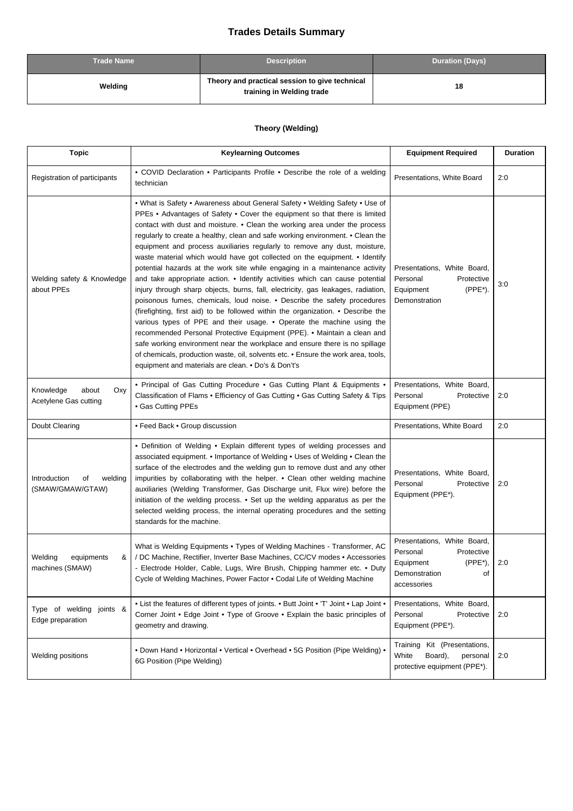## **Trades Details Summary**

| <b>Trade Name</b> | <b>Description</b>                                                          | <b>Duration (Days)</b> |
|-------------------|-----------------------------------------------------------------------------|------------------------|
| Welding           | Theory and practical session to give technical<br>training in Welding trade | 18                     |

## **Theory (Welding)**

| <b>Topic</b>                                       | <b>Keylearning Outcomes</b>                                                                                                                                                                                                                                                                                                                                                                                                                                                                                                                                                                                                                                                                                                                                                                                                                                                                                                                                                                                                                                                                                                                                                                                                                                                            | <b>Equipment Required</b>                                                                                              | <b>Duration</b> |
|----------------------------------------------------|----------------------------------------------------------------------------------------------------------------------------------------------------------------------------------------------------------------------------------------------------------------------------------------------------------------------------------------------------------------------------------------------------------------------------------------------------------------------------------------------------------------------------------------------------------------------------------------------------------------------------------------------------------------------------------------------------------------------------------------------------------------------------------------------------------------------------------------------------------------------------------------------------------------------------------------------------------------------------------------------------------------------------------------------------------------------------------------------------------------------------------------------------------------------------------------------------------------------------------------------------------------------------------------|------------------------------------------------------------------------------------------------------------------------|-----------------|
| Registration of participants                       | • COVID Declaration • Participants Profile • Describe the role of a welding<br>technician                                                                                                                                                                                                                                                                                                                                                                                                                                                                                                                                                                                                                                                                                                                                                                                                                                                                                                                                                                                                                                                                                                                                                                                              | Presentations, White Board                                                                                             | 2:0             |
| Welding safety & Knowledge<br>about PPEs           | . What is Safety . Awareness about General Safety . Welding Safety . Use of<br>PPEs . Advantages of Safety . Cover the equipment so that there is limited<br>contact with dust and moisture. • Clean the working area under the process<br>regularly to create a healthy, clean and safe working environment. • Clean the<br>equipment and process auxiliaries regularly to remove any dust, moisture,<br>waste material which would have got collected on the equipment. • Identify<br>potential hazards at the work site while engaging in a maintenance activity<br>and take appropriate action. • Identify activities which can cause potential<br>injury through sharp objects, burns, fall, electricity, gas leakages, radiation,<br>poisonous fumes, chemicals, loud noise. • Describe the safety procedures<br>(firefighting, first aid) to be followed within the organization. • Describe the<br>various types of PPE and their usage. • Operate the machine using the<br>recommended Personal Protective Equipment (PPE). • Maintain a clean and<br>safe working environment near the workplace and ensure there is no spillage<br>of chemicals, production waste, oil, solvents etc. • Ensure the work area, tools,<br>equipment and materials are clean. • Do's & Don't's | Presentations, White Board,<br>Personal<br>Protective<br>(PPE*).<br>Equipment<br>Demonstration                         | 3:0             |
| Knowledge<br>about<br>Oxy<br>Acetylene Gas cutting | • Principal of Gas Cutting Procedure • Gas Cutting Plant & Equipments •<br>Classification of Flams . Efficiency of Gas Cutting . Gas Cutting Safety & Tips<br>• Gas Cutting PPEs                                                                                                                                                                                                                                                                                                                                                                                                                                                                                                                                                                                                                                                                                                                                                                                                                                                                                                                                                                                                                                                                                                       | Presentations, White Board,<br>Personal<br>Protective<br>Equipment (PPE)                                               | 2:0             |
| Doubt Clearing                                     | • Feed Back • Group discussion                                                                                                                                                                                                                                                                                                                                                                                                                                                                                                                                                                                                                                                                                                                                                                                                                                                                                                                                                                                                                                                                                                                                                                                                                                                         | Presentations, White Board                                                                                             | 2:0             |
| Introduction<br>welding<br>οf<br>(SMAW/GMAW/GTAW)  | • Definition of Welding • Explain different types of welding processes and<br>associated equipment. • Importance of Welding • Uses of Welding • Clean the<br>surface of the electrodes and the welding gun to remove dust and any other<br>impurities by collaborating with the helper. • Clean other welding machine<br>auxiliaries (Welding Transformer, Gas Discharge unit, Flux wire) before the<br>initiation of the welding process. • Set up the welding apparatus as per the<br>selected welding process, the internal operating procedures and the setting<br>standards for the machine.                                                                                                                                                                                                                                                                                                                                                                                                                                                                                                                                                                                                                                                                                      | Presentations, White Board,<br>Personal<br>Protective<br>Equipment (PPE*).                                             | 2:0             |
| Welding<br>equipments<br>&<br>machines (SMAW)      | What is Welding Equipments • Types of Welding Machines - Transformer, AC<br>/ DC Machine, Rectifier, Inverter Base Machines, CC/CV modes • Accessories<br>- Electrode Holder, Cable, Lugs, Wire Brush, Chipping hammer etc. • Duty<br>Cycle of Welding Machines, Power Factor • Codal Life of Welding Machine                                                                                                                                                                                                                                                                                                                                                                                                                                                                                                                                                                                                                                                                                                                                                                                                                                                                                                                                                                          | Presentations, White Board,<br>Personal<br>Protective<br>$(PPE*)$ ,<br>Equipment<br>Demonstration<br>of<br>accessories | 2:0             |
| Type of welding joints &<br>Edge preparation       | • List the features of different types of joints. • Butt Joint • 'T' Joint • Lap Joint •<br>Corner Joint • Edge Joint • Type of Groove • Explain the basic principles of<br>geometry and drawing.                                                                                                                                                                                                                                                                                                                                                                                                                                                                                                                                                                                                                                                                                                                                                                                                                                                                                                                                                                                                                                                                                      | Presentations, White Board,<br>Personal<br>Protective<br>Equipment (PPE*).                                             | 2:0             |
| Welding positions                                  | • Down Hand • Horizontal • Vertical • Overhead • 5G Position (Pipe Welding) •<br>6G Position (Pipe Welding)                                                                                                                                                                                                                                                                                                                                                                                                                                                                                                                                                                                                                                                                                                                                                                                                                                                                                                                                                                                                                                                                                                                                                                            | Training Kit (Presentations,<br>White<br>Board),<br>personal<br>protective equipment (PPE*).                           | 2:0             |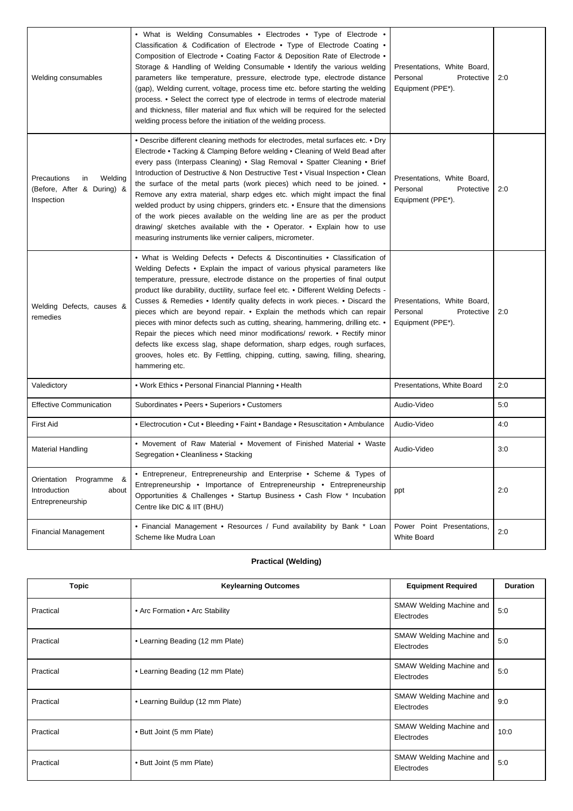| Welding consumables                                                      | • What is Welding Consumables • Electrodes • Type of Electrode •<br>Classification & Codification of Electrode • Type of Electrode Coating •<br>Composition of Electrode • Coating Factor & Deposition Rate of Electrode •<br>Storage & Handling of Welding Consumable • Identify the various welding<br>parameters like temperature, pressure, electrode type, electrode distance<br>(gap), Welding current, voltage, process time etc. before starting the welding<br>process. • Select the correct type of electrode in terms of electrode material<br>and thickness, filler material and flux which will be required for the selected<br>welding process before the initiation of the welding process.                                                                                                                           | Presentations, White Board,<br>Personal<br>Protective<br>Equipment (PPE*). | 2:0 |
|--------------------------------------------------------------------------|--------------------------------------------------------------------------------------------------------------------------------------------------------------------------------------------------------------------------------------------------------------------------------------------------------------------------------------------------------------------------------------------------------------------------------------------------------------------------------------------------------------------------------------------------------------------------------------------------------------------------------------------------------------------------------------------------------------------------------------------------------------------------------------------------------------------------------------|----------------------------------------------------------------------------|-----|
| Precautions<br>Welding<br>in<br>(Before, After & During) &<br>Inspection | • Describe different cleaning methods for electrodes, metal surfaces etc. • Dry<br>Electrode • Tacking & Clamping Before welding • Cleaning of Weld Bead after<br>every pass (Interpass Cleaning) • Slag Removal • Spatter Cleaning • Brief<br>Introduction of Destructive & Non Destructive Test • Visual Inspection • Clean<br>the surface of the metal parts (work pieces) which need to be joined. $\bullet$<br>Remove any extra material, sharp edges etc. which might impact the final<br>welded product by using chippers, grinders etc. • Ensure that the dimensions<br>of the work pieces available on the welding line are as per the product<br>drawing/ sketches available with the . Operator. . Explain how to use<br>measuring instruments like vernier calipers, micrometer.                                         | Presentations, White Board,<br>Personal<br>Protective<br>Equipment (PPE*). | 2:0 |
| Welding Defects, causes &<br>remedies                                    | • What is Welding Defects • Defects & Discontinuities • Classification of<br>Welding Defects • Explain the impact of various physical parameters like<br>temperature, pressure, electrode distance on the properties of final output<br>product like durability, ductility, surface feel etc. • Different Welding Defects -<br>Cusses & Remedies • Identify quality defects in work pieces. • Discard the<br>pieces which are beyond repair. • Explain the methods which can repair<br>pieces with minor defects such as cutting, shearing, hammering, drilling etc. •<br>Repair the pieces which need minor modifications/ rework. • Rectify minor<br>defects like excess slag, shape deformation, sharp edges, rough surfaces,<br>grooves, holes etc. By Fettling, chipping, cutting, sawing, filling, shearing,<br>hammering etc. | Presentations, White Board,<br>Personal<br>Protective<br>Equipment (PPE*). | 2:0 |
| Valedictory                                                              | . Work Ethics . Personal Financial Planning . Health                                                                                                                                                                                                                                                                                                                                                                                                                                                                                                                                                                                                                                                                                                                                                                                 | Presentations, White Board                                                 | 2:0 |
| <b>Effective Communication</b>                                           | Subordinates . Peers . Superiors . Customers                                                                                                                                                                                                                                                                                                                                                                                                                                                                                                                                                                                                                                                                                                                                                                                         | Audio-Video                                                                | 5:0 |
| <b>First Aid</b>                                                         | • Electrocution • Cut • Bleeding • Faint • Bandage • Resuscitation • Ambulance                                                                                                                                                                                                                                                                                                                                                                                                                                                                                                                                                                                                                                                                                                                                                       | Audio-Video                                                                | 4:0 |
| <b>Material Handling</b>                                                 | • Movement of Raw Material • Movement of Finished Material • Waste<br>Segregation • Cleanliness • Stacking                                                                                                                                                                                                                                                                                                                                                                                                                                                                                                                                                                                                                                                                                                                           | Audio-Video                                                                | 3:0 |
| Orientation<br>Programme &<br>Introduction<br>about<br>Entrepreneurship  | • Entrepreneur, Entrepreneurship and Enterprise • Scheme & Types of<br>Entrepreneurship • Importance of Entrepreneurship • Entrepreneurship<br>Opportunities & Challenges • Startup Business • Cash Flow * Incubation<br>Centre like DIC & IIT (BHU)                                                                                                                                                                                                                                                                                                                                                                                                                                                                                                                                                                                 | ppt                                                                        | 2:0 |
| <b>Financial Management</b>                                              | • Financial Management • Resources / Fund availability by Bank * Loan<br>Scheme like Mudra Loan                                                                                                                                                                                                                                                                                                                                                                                                                                                                                                                                                                                                                                                                                                                                      | Power Point Presentations,<br>White Board                                  | 2:0 |

## **Practical (Welding)**

| <b>Topic</b> | <b>Keylearning Outcomes</b>      | <b>Equipment Required</b>              | <b>Duration</b> |
|--------------|----------------------------------|----------------------------------------|-----------------|
| Practical    | • Arc Formation • Arc Stability  | SMAW Welding Machine and<br>Electrodes | 5:0             |
| Practical    | • Learning Beading (12 mm Plate) | SMAW Welding Machine and<br>Electrodes | 5:0             |
| Practical    | • Learning Beading (12 mm Plate) | SMAW Welding Machine and<br>Electrodes | 5:0             |
| Practical    | • Learning Buildup (12 mm Plate) | SMAW Welding Machine and<br>Electrodes | 9:0             |
| Practical    | • Butt Joint (5 mm Plate)        | SMAW Welding Machine and<br>Electrodes | 10:0            |
| Practical    | • Butt Joint (5 mm Plate)        | SMAW Welding Machine and<br>Electrodes | 5:0             |